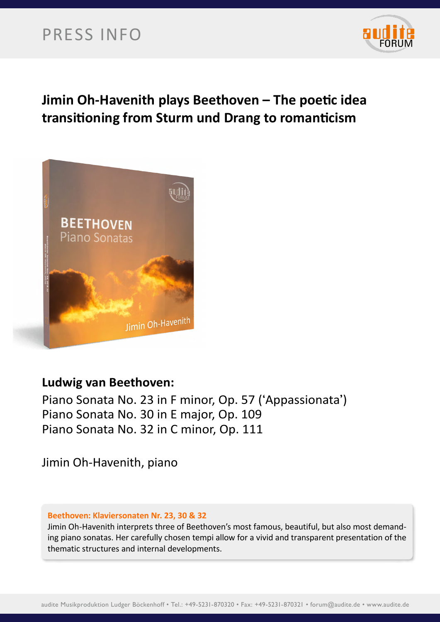# PRESS INFO



### **Jimin Oh-Havenith plays Beethoven – The poetic idea transitioning from Sturm und Drang to romanticism**



### **Ludwig van Beethoven:**

Piano Sonata No. 23 in F minor, Op. 57 ('Appassionata') Piano Sonata No. 30 in E major, Op. 109 Piano Sonata No. 32 in C minor, Op. 111

Jimin Oh-Havenith, piano

#### **Beethoven: Klaviersonaten Nr. 23, 30 & 32**

Jimin Oh-Havenith interprets three of Beethoven's most famous, beautiful, but also most demanding piano sonatas. Her carefully chosen tempi allow for a vivid and transparent presentation of the thematic structures and internal developments.